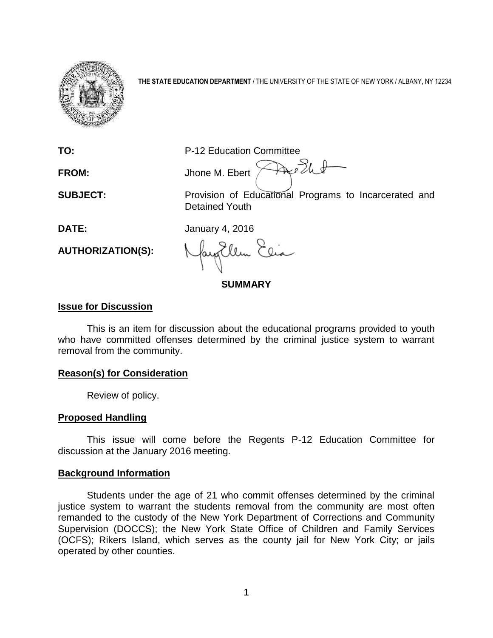

**THE STATE EDUCATION DEPARTMENT** / THE UNIVERSITY OF THE STATE OF NEW YORK / ALBANY, NY 12234

**TO:** P-12 Education Committee

Are Ell **FROM:** Jhone M. Ebert

**SUBJECT:** Provision of Educational Programs to Incarcerated and Detained Youth

**DATE:** January 4, 2016

**AUTHORIZATION(S):**

Jay Ellen Ele

**SUMMARY**

## **Issue for Discussion**

This is an item for discussion about the educational programs provided to youth who have committed offenses determined by the criminal justice system to warrant removal from the community.

### **Reason(s) for Consideration**

Review of policy.

# **Proposed Handling**

This issue will come before the Regents P-12 Education Committee for discussion at the January 2016 meeting.

### **Background Information**

Students under the age of 21 who commit offenses determined by the criminal justice system to warrant the students removal from the community are most often remanded to the custody of the New York Department of Corrections and Community Supervision (DOCCS); the New York State Office of Children and Family Services (OCFS); Rikers Island, which serves as the county jail for New York City; or jails operated by other counties.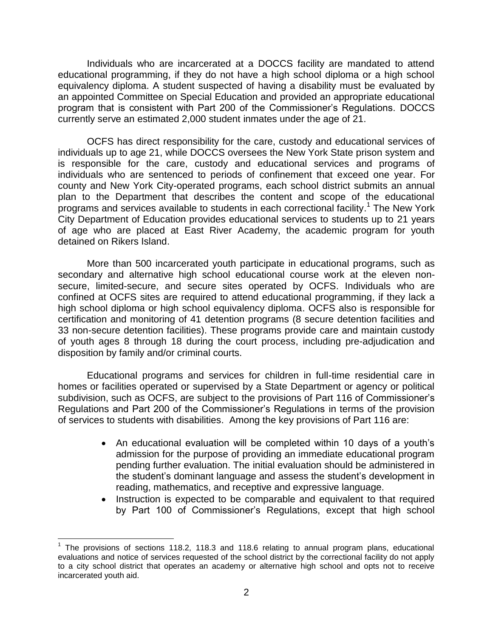Individuals who are incarcerated at a DOCCS facility are mandated to attend educational programming, if they do not have a high school diploma or a high school equivalency diploma. A student suspected of having a disability must be evaluated by an appointed Committee on Special Education and provided an appropriate educational program that is consistent with Part 200 of the Commissioner's Regulations. DOCCS currently serve an estimated 2,000 student inmates under the age of 21.

OCFS has direct responsibility for the care, custody and educational services of individuals up to age 21, while DOCCS oversees the New York State prison system and is responsible for the care, custody and educational services and programs of individuals who are sentenced to periods of confinement that exceed one year. For county and New York City-operated programs, each school district submits an annual plan to the Department that describes the content and scope of the educational .<br>programs and services available to students in each correctional facility.<sup>1</sup> The New York City Department of Education provides educational services to students up to 21 years of age who are placed at East River Academy, the academic program for youth detained on Rikers Island.

More than 500 incarcerated youth participate in educational programs, such as secondary and alternative high school educational course work at the eleven nonsecure, limited-secure, and secure sites operated by OCFS. Individuals who are confined at OCFS sites are required to attend educational programming, if they lack a high school diploma or high school equivalency diploma. OCFS also is responsible for certification and monitoring of 41 detention programs (8 secure detention facilities and 33 non-secure detention facilities). These programs provide care and maintain custody of youth ages 8 through 18 during the court process, including pre-adjudication and disposition by family and/or criminal courts.

Educational programs and services for children in full-time residential care in homes or facilities operated or supervised by a State Department or agency or political subdivision, such as OCFS, are subject to the provisions of Part 116 of Commissioner's Regulations and Part 200 of the Commissioner's Regulations in terms of the provision of services to students with disabilities. Among the key provisions of Part 116 are:

- An educational evaluation will be completed within 10 days of a youth's admission for the purpose of providing an immediate educational program pending further evaluation. The initial evaluation should be administered in the student's dominant language and assess the student's development in reading, mathematics, and receptive and expressive language.
- Instruction is expected to be comparable and equivalent to that required by Part 100 of Commissioner's Regulations, except that high school

 $\overline{\phantom{a}}$ 

 $1$  The provisions of sections 118.2, 118.3 and 118.6 relating to annual program plans, educational evaluations and notice of services requested of the school district by the correctional facility do not apply to a city school district that operates an academy or alternative high school and opts not to receive incarcerated youth aid.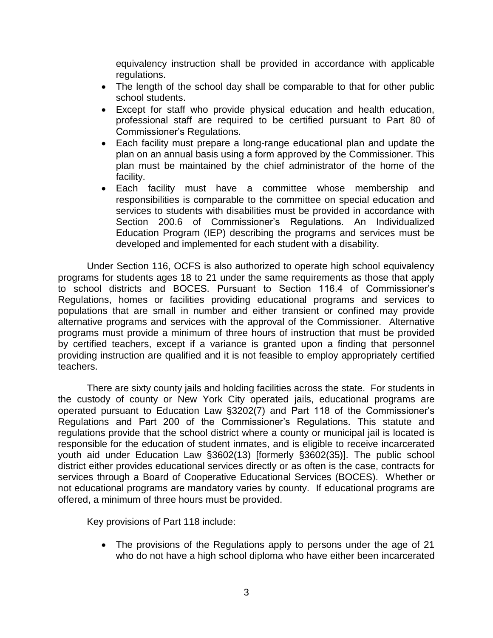equivalency instruction shall be provided in accordance with applicable regulations.

- The length of the school day shall be comparable to that for other public school students.
- Except for staff who provide physical education and health education, professional staff are required to be certified pursuant to Part 80 of Commissioner's Regulations.
- Each facility must prepare a long-range educational plan and update the plan on an annual basis using a form approved by the Commissioner. This plan must be maintained by the chief administrator of the home of the facility.
- Each facility must have a committee whose membership and responsibilities is comparable to the committee on special education and services to students with disabilities must be provided in accordance with Section 200.6 of Commissioner's Regulations. An Individualized Education Program (IEP) describing the programs and services must be developed and implemented for each student with a disability.

Under Section 116, OCFS is also authorized to operate high school equivalency programs for students ages 18 to 21 under the same requirements as those that apply to school districts and BOCES. Pursuant to Section 116.4 of Commissioner's Regulations, homes or facilities providing educational programs and services to populations that are small in number and either transient or confined may provide alternative programs and services with the approval of the Commissioner. Alternative programs must provide a minimum of three hours of instruction that must be provided by certified teachers, except if a variance is granted upon a finding that personnel providing instruction are qualified and it is not feasible to employ appropriately certified teachers.

There are sixty county jails and holding facilities across the state. For students in the custody of county or New York City operated jails, educational programs are operated pursuant to Education Law §3202(7) and Part 118 of the Commissioner's Regulations and Part 200 of the Commissioner's Regulations. This statute and regulations provide that the school district where a county or municipal jail is located is responsible for the education of student inmates, and is eligible to receive incarcerated youth aid under Education Law §3602(13) [formerly §3602(35)]. The public school district either provides educational services directly or as often is the case, contracts for services through a Board of Cooperative Educational Services (BOCES). Whether or not educational programs are mandatory varies by county. If educational programs are offered, a minimum of three hours must be provided.

Key provisions of Part 118 include:

• The provisions of the Regulations apply to persons under the age of 21 who do not have a high school diploma who have either been incarcerated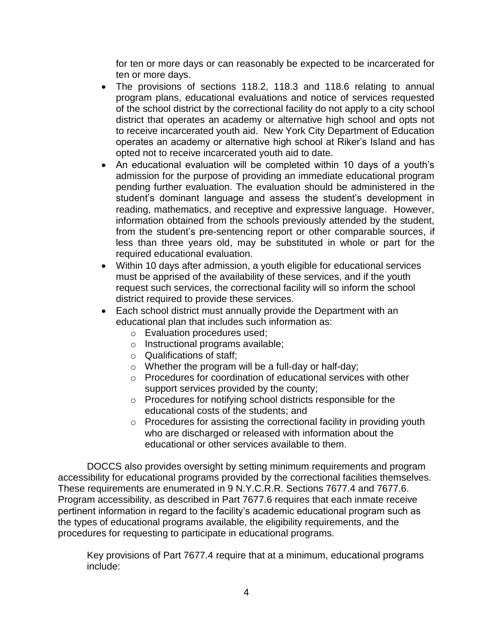for ten or more days or can reasonably be expected to be incarcerated for ten or more days.

- The provisions of sections 118.2, 118.3 and 118.6 relating to annual program plans, educational evaluations and notice of services requested of the school district by the correctional facility do not apply to a city school district that operates an academy or alternative high school and opts not to receive incarcerated youth aid. New York City Department of Education operates an academy or alternative high school at Riker's Island and has opted not to receive incarcerated youth aid to date.
- An educational evaluation will be completed within 10 days of a youth's admission for the purpose of providing an immediate educational program pending further evaluation. The evaluation should be administered in the student's dominant language and assess the student's development in reading, mathematics, and receptive and expressive language. However, information obtained from the schools previously attended by the student, from the student's pre-sentencing report or other comparable sources, if less than three years old, may be substituted in whole or part for the required educational evaluation.
- Within 10 days after admission, a youth eligible for educational services must be apprised of the availability of these services, and if the youth request such services, the correctional facility will so inform the school district required to provide these services.
- Each school district must annually provide the Department with an educational plan that includes such information as:
	- o Evaluation procedures used;
	- o Instructional programs available;
	- o Qualifications of staff;
	- o Whether the program will be a full-day or half-day;
	- o Procedures for coordination of educational services with other support services provided by the county;
	- o Procedures for notifying school districts responsible for the educational costs of the students; and
	- o Procedures for assisting the correctional facility in providing youth who are discharged or released with information about the educational or other services available to them.

DOCCS also provides oversight by setting minimum requirements and program accessibility for educational programs provided by the correctional facilities themselves. These requirements are enumerated in 9 N.Y.C.R.R. Sections 7677.4 and 7677.6. Program accessibility, as described in Part 7677.6 requires that each inmate receive pertinent information in regard to the facility's academic educational program such as the types of educational programs available, the eligibility requirements, and the procedures for requesting to participate in educational programs.

Key provisions of Part 7677.4 require that at a minimum, educational programs include: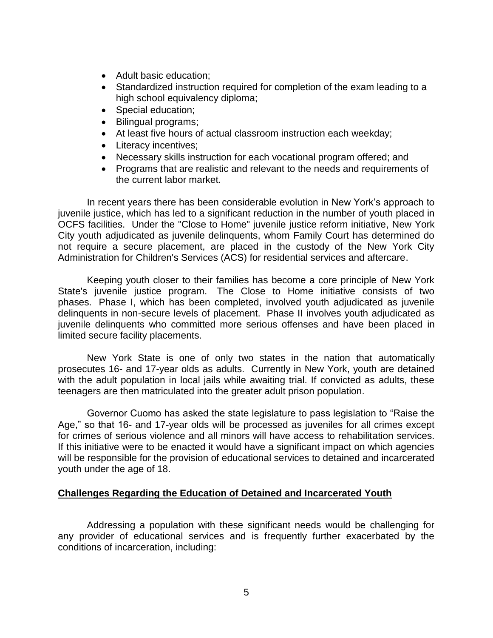- Adult basic education;
- Standardized instruction required for completion of the exam leading to a high school equivalency diploma;
- Special education;
- Bilingual programs;
- At least five hours of actual classroom instruction each weekday;
- Literacy incentives;
- Necessary skills instruction for each vocational program offered; and
- Programs that are realistic and relevant to the needs and requirements of the current labor market.

In recent years there has been considerable evolution in New York's approach to juvenile justice, which has led to a significant reduction in the number of youth placed in OCFS facilities. Under the "Close to Home" juvenile justice reform initiative, New York City youth adjudicated as juvenile delinquents, whom Family Court has determined do not require a secure placement, are placed in the custody of the New York City Administration for Children's Services (ACS) for residential services and aftercare.

Keeping youth closer to their families has become a core principle of New York State's juvenile justice program. The Close to Home initiative consists of two phases. Phase I, which has been completed, involved youth adjudicated as juvenile delinquents in non-secure levels of placement. Phase II involves youth adjudicated as juvenile delinquents who committed more serious offenses and have been placed in limited secure facility placements.

New York State is one of only two states in the nation that automatically prosecutes 16- and 17-year olds as adults. Currently in New York, youth are detained with the adult population in local jails while awaiting trial. If convicted as adults, these teenagers are then matriculated into the greater adult prison population.

Governor Cuomo has asked the state legislature to pass legislation to "Raise the Age," so that 16- and 17-year olds will be processed as juveniles for all crimes except for crimes of serious violence and all minors will have access to rehabilitation services. If this initiative were to be enacted it would have a significant impact on which agencies will be responsible for the provision of educational services to detained and incarcerated youth under the age of 18.

#### **Challenges Regarding the Education of Detained and Incarcerated Youth**

Addressing a population with these significant needs would be challenging for any provider of educational services and is frequently further exacerbated by the conditions of incarceration, including: